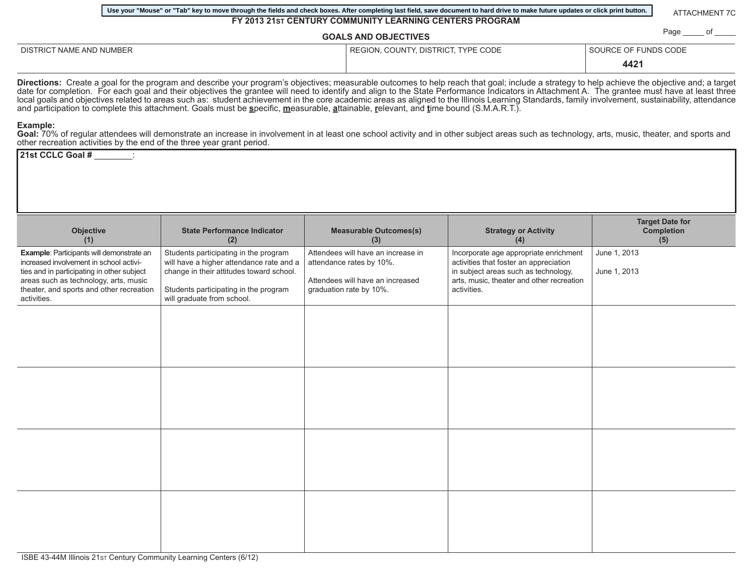| Page ______ of _____<br><b>GOALS AND OBJECTIVES</b>                                                                                                                                                                                           |                                                                                                                                                                                                                                                                                                                                                                                                                                                                                                                                                                                                                                                                                                                                              |  |                                                                                                                               |                                                                                                                                                                                      |                              |                                                    |  |
|-----------------------------------------------------------------------------------------------------------------------------------------------------------------------------------------------------------------------------------------------|----------------------------------------------------------------------------------------------------------------------------------------------------------------------------------------------------------------------------------------------------------------------------------------------------------------------------------------------------------------------------------------------------------------------------------------------------------------------------------------------------------------------------------------------------------------------------------------------------------------------------------------------------------------------------------------------------------------------------------------------|--|-------------------------------------------------------------------------------------------------------------------------------|--------------------------------------------------------------------------------------------------------------------------------------------------------------------------------------|------------------------------|----------------------------------------------------|--|
| DISTRICT NAME AND NUMBER                                                                                                                                                                                                                      |                                                                                                                                                                                                                                                                                                                                                                                                                                                                                                                                                                                                                                                                                                                                              |  | REGION, COUNTY, DISTRICT, TYPE CODE                                                                                           |                                                                                                                                                                                      | SOURCE OF FUNDS CODE<br>4421 |                                                    |  |
|                                                                                                                                                                                                                                               | Directions: Create a goal for the program and describe your program's objectives; measurable outcomes to help reach that goal; include a strategy to help achieve the objective and; a target<br>date for completion. For each goal and their objectives the grantee will need to identify and align to the State Performance Indicators in Attachment A. The grantee must have at least three<br>local goals and objectives related to areas such as: student achievement in the core academic areas as aligned to the Illinois Learning Standards, family involvement, sustainability, attendance<br>and participation to complete this attachment. Goals must be specific, measurable, attainable, relevant, and time bound (S.M.A.R.T.). |  |                                                                                                                               |                                                                                                                                                                                      |                              |                                                    |  |
| Example:<br>other recreation activities by the end of the three year grant period.                                                                                                                                                            | Goal: 70% of regular attendees will demonstrate an increase in involvement in at least one school activity and in other subject areas such as technology, arts, music, theater, and sports and                                                                                                                                                                                                                                                                                                                                                                                                                                                                                                                                               |  |                                                                                                                               |                                                                                                                                                                                      |                              |                                                    |  |
| 21st CCLC Goal #                                                                                                                                                                                                                              |                                                                                                                                                                                                                                                                                                                                                                                                                                                                                                                                                                                                                                                                                                                                              |  |                                                                                                                               |                                                                                                                                                                                      |                              |                                                    |  |
|                                                                                                                                                                                                                                               |                                                                                                                                                                                                                                                                                                                                                                                                                                                                                                                                                                                                                                                                                                                                              |  |                                                                                                                               |                                                                                                                                                                                      |                              |                                                    |  |
| Objective<br>(1)                                                                                                                                                                                                                              | <b>State Performance Indicator</b><br>(2)                                                                                                                                                                                                                                                                                                                                                                                                                                                                                                                                                                                                                                                                                                    |  | <b>Measurable Outcomes(s)</b><br>(3)                                                                                          | <b>Strategy or Activity</b><br>(4)                                                                                                                                                   |                              | <b>Target Date for</b><br><b>Completion</b><br>(5) |  |
| <b>Example:</b> Participants will demonstrate an<br>increased involvement in school activi-<br>ties and in participating in other subject<br>areas such as technology, arts, music<br>theater, and sports and other recreation<br>activities. | Students participating in the program<br>will have a higher attendance rate and a<br>change in their attitudes toward school.<br>Students participating in the program<br>will graduate from school.                                                                                                                                                                                                                                                                                                                                                                                                                                                                                                                                         |  | Attendees will have an increase in<br>attendance rates by 10%.<br>Attendees will have an increased<br>graduation rate by 10%. | Incorporate age appropriate enrichment<br>activities that foster an appreciation<br>in subject areas such as technology,<br>arts, music, theater and other recreation<br>activities. | June 1, 2013<br>June 1, 2013 |                                                    |  |
|                                                                                                                                                                                                                                               |                                                                                                                                                                                                                                                                                                                                                                                                                                                                                                                                                                                                                                                                                                                                              |  |                                                                                                                               |                                                                                                                                                                                      |                              |                                                    |  |
|                                                                                                                                                                                                                                               |                                                                                                                                                                                                                                                                                                                                                                                                                                                                                                                                                                                                                                                                                                                                              |  |                                                                                                                               |                                                                                                                                                                                      |                              |                                                    |  |
|                                                                                                                                                                                                                                               |                                                                                                                                                                                                                                                                                                                                                                                                                                                                                                                                                                                                                                                                                                                                              |  |                                                                                                                               |                                                                                                                                                                                      |                              |                                                    |  |
|                                                                                                                                                                                                                                               |                                                                                                                                                                                                                                                                                                                                                                                                                                                                                                                                                                                                                                                                                                                                              |  |                                                                                                                               |                                                                                                                                                                                      |                              |                                                    |  |

**FY 2013 21ST CENTURY COMMUNITY LEARNING CENTERS PROGRAM**

**Use your "Mouse" or "Tab" key to move through the fields and check boxes. After completing last field, save document to hard drive to make future updates or click print button.**

ATTACHMENT 7C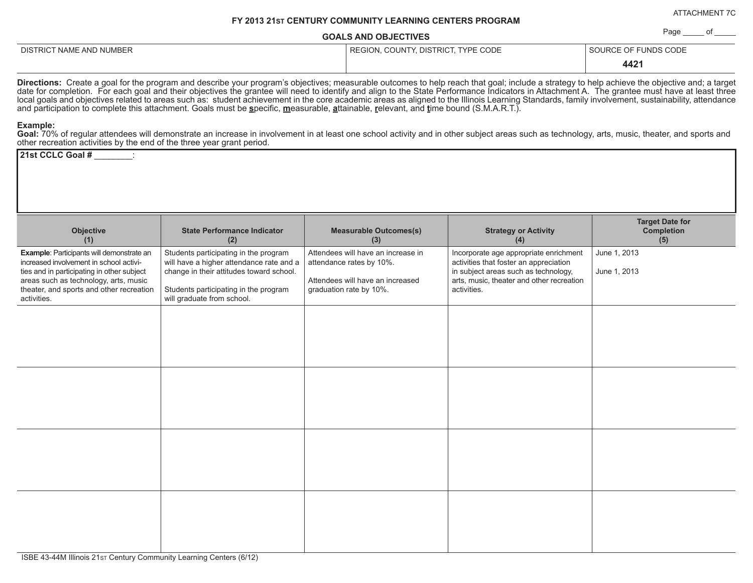ATTACHMENT 7C

Page \_\_\_\_\_\_ of

## **FY 2013 21ST CENTURY COMMUNITY LEARNING CENTERS PROGRAM**

**GOALS AND OBJECTIVES**

DISTRICT NAME AND NUMBER **REGION, COUNTY, DISTRICT, TYPE CODE** SOURCE OF FUNDS CODE

 **4421** 

**Directions:** Create a goal for the program and describe your program's objectives; measurable outcomes to help reach that goal; include a strategy to help achieve the objective and; a target date for completion. For each goal and their objectives the grantee will need to identify and align to the State Performance Indicators in Attachment A. The grantee must have at least three local goals and objectives related to areas such as: student achievement in the core academic areas as aligned to the Illinois Learning Standards, family involvement, sustainability, attendance and participation to complete this attachment. Goals must be **s**pecific, **m**easurable, **a**ttainable, **r**elevant, and **t**ime bound (S.M.A.R.T.).

### **Example:**

Goal: 70% of regular attendees will demonstrate an increase in involvement in at least one school activity and in other subject areas such as technology, arts, music, theater, and sports and other recreation activities by the end of the three year grant period.

**21st CCLC Goal #** \_\_\_\_\_\_\_\_:

| Objective<br>(1)                                                                                                                                                                                                                       | <b>State Performance Indicator</b><br>(2)                                                                                                                                                            | <b>Measurable Outcomes(s)</b><br>(3)                                                                                          | <b>Strategy or Activity</b><br>(4)                                                                                                                                                   | <b>Target Date for</b><br><b>Completion</b><br>(5) |
|----------------------------------------------------------------------------------------------------------------------------------------------------------------------------------------------------------------------------------------|------------------------------------------------------------------------------------------------------------------------------------------------------------------------------------------------------|-------------------------------------------------------------------------------------------------------------------------------|--------------------------------------------------------------------------------------------------------------------------------------------------------------------------------------|----------------------------------------------------|
| Example: Participants will demonstrate an<br>increased involvement in school activi-<br>ties and in participating in other subject<br>areas such as technology, arts, music<br>theater, and sports and other recreation<br>activities. | Students participating in the program<br>will have a higher attendance rate and a<br>change in their attitudes toward school.<br>Students participating in the program<br>will graduate from school. | Attendees will have an increase in<br>attendance rates by 10%.<br>Attendees will have an increased<br>graduation rate by 10%. | Incorporate age appropriate enrichment<br>activities that foster an appreciation<br>in subject areas such as technology,<br>arts, music, theater and other recreation<br>activities. | June 1, 2013<br>June 1, 2013                       |
|                                                                                                                                                                                                                                        |                                                                                                                                                                                                      |                                                                                                                               |                                                                                                                                                                                      |                                                    |
|                                                                                                                                                                                                                                        |                                                                                                                                                                                                      |                                                                                                                               |                                                                                                                                                                                      |                                                    |
|                                                                                                                                                                                                                                        |                                                                                                                                                                                                      |                                                                                                                               |                                                                                                                                                                                      |                                                    |
|                                                                                                                                                                                                                                        |                                                                                                                                                                                                      |                                                                                                                               |                                                                                                                                                                                      |                                                    |